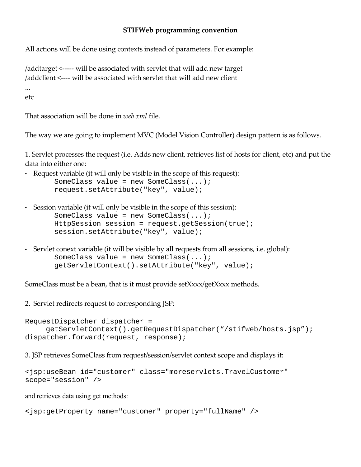## **STIFWeb programming convention**

All actions will be done using contexts instead of parameters. For example:

/addtarget <----- will be associated with servlet that will add new target /addclient <---- will be associated with servlet that will add new client

... etc

That association will be done in *web.xml* file.

The way we are going to implement MVC (Model Vision Controller) design pattern is as follows.

1. Servlet processes the request (i.e. Adds new client, retrieves list of hosts for client, etc) and put the data into either one:

- Request variable (it will only be visible in the scope of this request): SomeClass value = new SomeClass(...); request.setAttribute("key", value);
- Session variable (it will only be visible in the scope of this session): SomeClass value = new SomeClass(...); HttpSession session = request.getSession(true); session.setAttribute("key", value);
- Servlet conext variable (it will be visible by all requests from all sessions, i.e. global): SomeClass value = new SomeClass(...); getServletContext().setAttribute("key", value);

SomeClass must be a bean, that is it must provide setXxxx/getXxxx methods.

2. Servlet redirects request to corresponding JSP:

RequestDispatcher dispatcher = getServletContext().getRequestDispatcher("/stifweb/hosts.jsp"); dispatcher.forward(request, response);

3. JSP retrieves SomeClass from request/session/servlet context scope and displays it:

```
<jsp:useBean id="customer" class="moreservlets.TravelCustomer"
scope="session" />
```
and retrieves data using get methods:

```
<jsp:getProperty name="customer" property="fullName" />
```